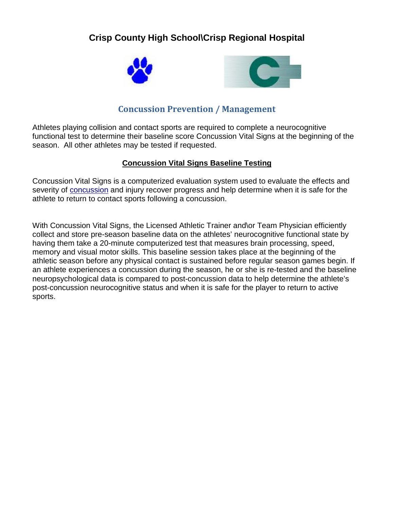# **Crisp County High School\Crisp Regional Hospital**





## **Concussion Prevention / Management**

Athletes playing collision and contact sports are required to complete a neurocognitive functional test to determine their baseline score Concussion Vital Signs at the beginning of the season. All other athletes may be tested if requested.

## **Concussion Vital Signs Baseline Testing**

Concussion Vital Signs is a computerized evaluation system used to evaluate the effects and severity of [concussion](http://concussion.upmc.com/) and injury recover progress and help determine when it is safe for the athlete to return to contact sports following a concussion.

With Concussion Vital Signs, the Licensed Athletic Trainer and\or Team Physician efficiently collect and store pre-season baseline data on the athletes' neurocognitive functional state by having them take a 20-minute computerized test that measures brain processing, speed, memory and visual motor skills. This baseline session takes place at the beginning of the athletic season before any physical contact is sustained before regular season games begin. If an athlete experiences a concussion during the season, he or she is re-tested and the baseline neuropsychological data is compared to post-concussion data to help determine the athlete's post-concussion neurocognitive status and when it is safe for the player to return to active sports.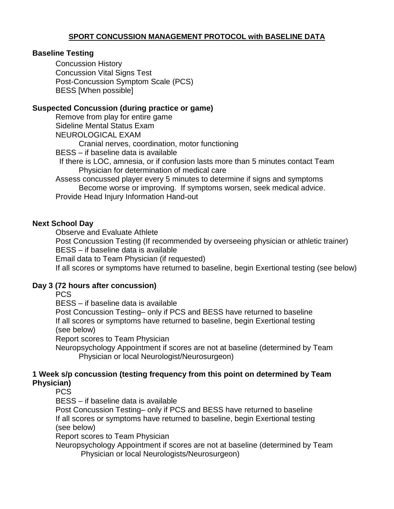## **SPORT CONCUSSION MANAGEMENT PROTOCOL with BASELINE DATA**

#### **Baseline Testing**

Concussion History Concussion Vital Signs Test Post-Concussion Symptom Scale (PCS) BESS [When possible]

#### **Suspected Concussion (during practice or game)**

Remove from play for entire game Sideline Mental Status Exam NEUROLOGICAL EXAM Cranial nerves, coordination, motor functioning BESS – if baseline data is available If there is LOC, amnesia, or if confusion lasts more than 5 minutes contact Team Physician for determination of medical care Assess concussed player every 5 minutes to determine if signs and symptoms Become worse or improving. If symptoms worsen, seek medical advice. Provide Head Injury Information Hand-out

#### **Next School Day**

Observe and Evaluate Athlete

Post Concussion Testing (If recommended by overseeing physician or athletic trainer) BESS – if baseline data is available

Email data to Team Physician (if requested)

If all scores or symptoms have returned to baseline, begin Exertional testing (see below)

#### **Day 3 (72 hours after concussion)**

**PCS** 

BESS – if baseline data is available

Post Concussion Testing– only if PCS and BESS have returned to baseline If all scores or symptoms have returned to baseline, begin Exertional testing (see below)

Report scores to Team Physician

Neuropsychology Appointment if scores are not at baseline (determined by Team Physician or local Neurologist/Neurosurgeon)

#### **1 Week s/p concussion (testing frequency from this point on determined by Team Physician)**

**PCS** 

BESS – if baseline data is available

Post Concussion Testing– only if PCS and BESS have returned to baseline If all scores or symptoms have returned to baseline, begin Exertional testing (see below)

Report scores to Team Physician

Neuropsychology Appointment if scores are not at baseline (determined by Team Physician or local Neurologists/Neurosurgeon)